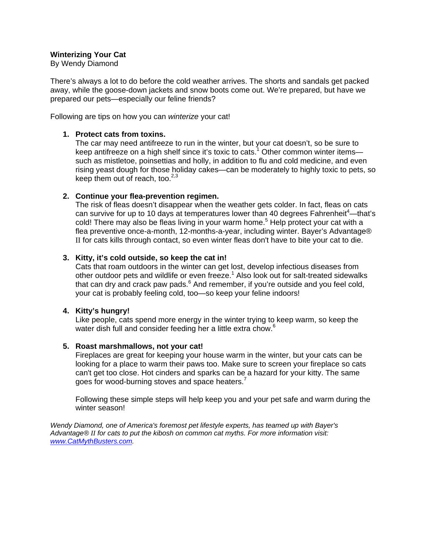# **Winterizing Your Cat**

By Wendy Diamond

There's always a lot to do before the cold weather arrives. The shorts and sandals get packed away, while the goose-down jackets and snow boots come out. We're prepared, but have we prepared our pets—especially our feline friends?

Following are tips on how you can *winterize* your cat!

#### **1. Protect cats from toxins.**

The car may need antifreeze to run in the winter, but your cat doesn't, so be sure to keep antifreeze on a high shelf since it's toxic to cats.<sup>1</sup> Other common winter itemssuch as mistletoe, poinsettias and holly, in addition to flu and cold medicine, and even rising yeast dough for those holiday cakes—can be moderately to highly toxic to pets, so keep them out of reach, too. $2,3$ 

## **2. Continue your flea-prevention regimen.**

The risk of fleas doesn't disappear when the weather gets colder. In fact, fleas on cats can survive for up to 10 days at temperatures lower than 40 degrees Fahrenheit<sup>4</sup>—that's cold! There may also be fleas living in your warm home.<sup>5</sup> Help protect your cat with a flea preventive once-a-month, 12-months-a-year, including winter. Bayer's Advantage® II for cats kills through contact, so even winter fleas don't have to bite your cat to die.

## **3. Kitty, it's cold outside, so keep the cat in!**

Cats that roam outdoors in the winter can get lost, develop infectious diseases from other outdoor pets and wildlife or even freeze.<sup>1</sup> Also look out for salt-treated sidewalks that can dry and crack paw pads.<sup>6</sup> And remember, if you're outside and you feel cold, your cat is probably feeling cold, too—so keep your feline indoors!

## **4. Kitty's hungry!**

Like people, cats spend more energy in the winter trying to keep warm, so keep the water dish full and consider feeding her a little extra chow.<sup>6</sup>

## **5. Roast marshmallows, not your cat!**

Fireplaces are great for keeping your house warm in the winter, but your cats can be looking for a place to warm their paws too. Make sure to screen your fireplace so cats can't get too close. Hot cinders and sparks can be a hazard for your kitty. The same goes for wood-burning stoves and space heaters. $^7$ 

Following these simple steps will help keep you and your pet safe and warm during the winter season!

*Wendy Diamond, one of America's foremost pet lifestyle experts, has teamed up with Bayer's Advantage® II for cats to put the kibosh on common cat myths. For more information visit: www.CatMythBusters.com.*